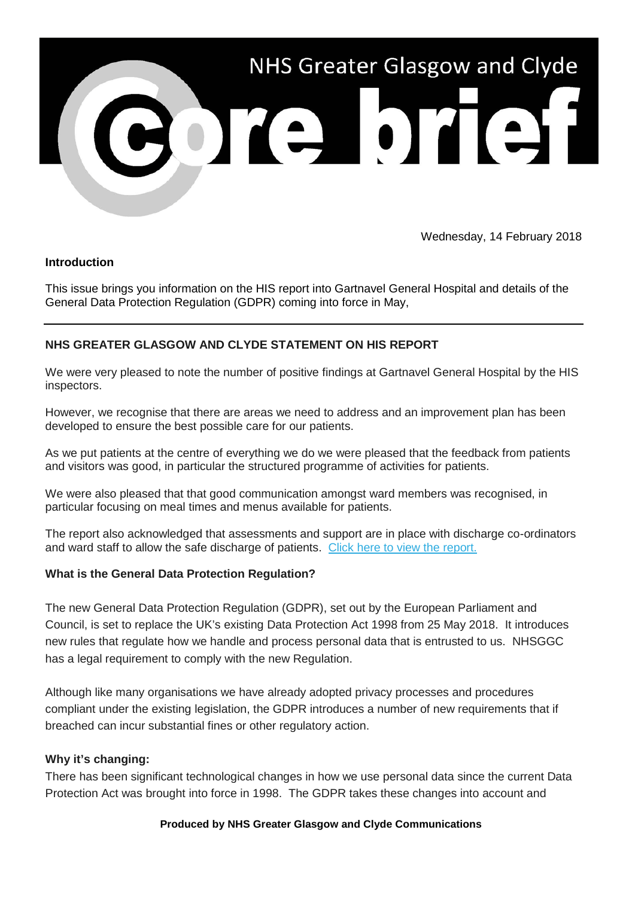

Wednesday, 14 February 2018

## **Introduction**

This issue brings you information on the HIS report into Gartnavel General Hospital and details of the General Data Protection Regulation (GDPR) coming into force in May,

# **NHS GREATER GLASGOW AND CLYDE STATEMENT ON HIS REPORT**

We were very pleased to note the number of positive findings at Gartnavel General Hospital by the HIS inspectors.

However, we recognise that there are areas we need to address and an improvement plan has been developed to ensure the best possible care for our patients.

As we put patients at the centre of everything we do we were pleased that the feedback from patients and visitors was good, in particular the structured programme of activities for patients.

We were also pleased that that good communication amongst ward members was recognised, in particular focusing on meal times and menus available for patients.

The report also acknowledged that assessments and support are in place with discharge co-ordinators and ward staff to allow the safe discharge of patients. [Click here to view the report.](https://nhsggc.us12.list-manage.com/track/click?u=0f385b5aea37eaf0213bd19fb&id=7a0f300051&e=5af5e1832c)

#### **What is the General Data Protection Regulation?**

The new General Data Protection Regulation (GDPR), set out by the European Parliament and Council, is set to replace the UK's existing Data Protection Act 1998 from 25 May 2018. It introduces new rules that regulate how we handle and process personal data that is entrusted to us. NHSGGC has a legal requirement to comply with the new Regulation.

Although like many organisations we have already adopted privacy processes and procedures compliant under the existing legislation, the GDPR introduces a number of new requirements that if breached can incur substantial fines or other regulatory action.

## **Why it's changing:**

There has been significant technological changes in how we use personal data since the current Data Protection Act was brought into force in 1998. The GDPR takes these changes into account and

#### **Produced by NHS Greater Glasgow and Clyde Communications**